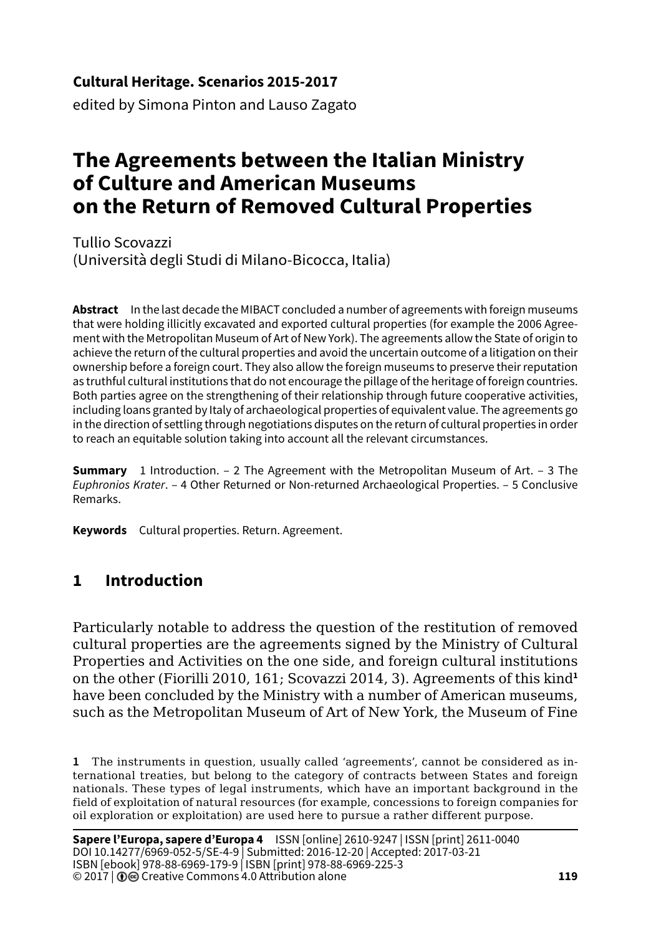#### **Cultural Heritage. Scenarios 2015-2017**

edited by Simona Pinton and Lauso Zagato

# **The Agreements between the Italian Ministry of Culture and American Museums on the Return of Removed Cultural Properties**

Tullio Scovazzi (Università degli Studi di Milano-Bicocca, Italia)

**Abstract** In the last decade the MIBACT concluded a number of agreements with foreign museums that were holding illicitly excavated and exported cultural properties (for example the 2006 Agreement with the Metropolitan Museum of Art of New York). The agreements allow the State of origin to achieve the return of the cultural properties and avoid the uncertain outcome of a litigation on their ownership before a foreign court. They also allow the foreign museums to preserve their reputation as truthful cultural institutions that do not encourage the pillage of the heritage of foreign countries. Both parties agree on the strengthening of their relationship through future cooperative activities, including loans granted by Italy of archaeological properties of equivalent value. The agreements go in the direction of settling through negotiations disputes on the return of cultural properties in order to reach an equitable solution taking into account all the relevant circumstances.

**Summary** 1 Introduction. – 2 The Agreement with the Metropolitan Museum of Art. – 3 The *Euphronios Krater*. – 4 Other Returned or Non-returned Archaeological Properties. – 5 Conclusive Remarks.

**Keywords** Cultural properties. Return. Agreement.

## **1 Introduction**

Particularly notable to address the question of the restitution of removed cultural properties are the agreements signed by the Ministry of Cultural Properties and Activities on the one side, and foreign cultural institutions on the other (Fiorilli 2010, 161; Scovazzi 2014, 3). Agreements of this kind**<sup>1</sup>** have been concluded by the Ministry with a number of American museums, such as the Metropolitan Museum of Art of New York, the Museum of Fine

**<sup>1</sup>** The instruments in question, usually called 'agreements', cannot be considered as international treaties, but belong to the category of contracts between States and foreign nationals. These types of legal instruments, which have an important background in the field of exploitation of natural resources (for example, concessions to foreign companies for oil exploration or exploitation) are used here to pursue a rather different purpose.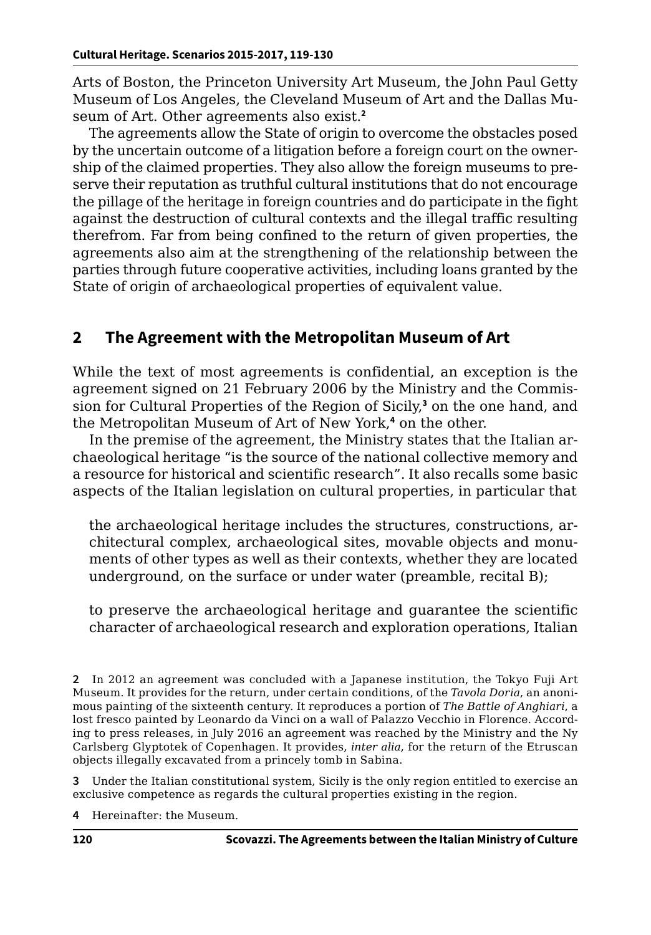Arts of Boston, the Princeton University Art Museum, the John Paul Getty Museum of Los Angeles, the Cleveland Museum of Art and the Dallas Museum of Art. Other agreements also exist.**<sup>2</sup>**

The agreements allow the State of origin to overcome the obstacles posed by the uncertain outcome of a litigation before a foreign court on the ownership of the claimed properties. They also allow the foreign museums to preserve their reputation as truthful cultural institutions that do not encourage the pillage of the heritage in foreign countries and do participate in the fight against the destruction of cultural contexts and the illegal traffic resulting therefrom. Far from being confined to the return of given properties, the agreements also aim at the strengthening of the relationship between the parties through future cooperative activities, including loans granted by the State of origin of archaeological properties of equivalent value.

# **2 The Agreement with the Metropolitan Museum of Art**

While the text of most agreements is confidential, an exception is the agreement signed on 21 February 2006 by the Ministry and the Commission for Cultural Properties of the Region of Sicily,**<sup>3</sup>** on the one hand, and the Metropolitan Museum of Art of New York,**<sup>4</sup>** on the other.

In the premise of the agreement, the Ministry states that the Italian archaeological heritage "is the source of the national collective memory and a resource for historical and scientific research". It also recalls some basic aspects of the Italian legislation on cultural properties, in particular that

the archaeological heritage includes the structures, constructions, architectural complex, archaeological sites, movable objects and monuments of other types as well as their contexts, whether they are located underground, on the surface or under water (preamble, recital B);

to preserve the archaeological heritage and guarantee the scientific character of archaeological research and exploration operations, Italian

**3** Under the Italian constitutional system, Sicily is the only region entitled to exercise an exclusive competence as regards the cultural properties existing in the region.

**4** Hereinafter: the Museum.

**<sup>2</sup>** In 2012 an agreement was concluded with a Japanese institution, the Tokyo Fuji Art Museum. It provides for the return, under certain conditions, of the *Tavola Doria*, an anonimous painting of the sixteenth century. It reproduces a portion of *The Battle of Anghiari*, a lost fresco painted by Leonardo da Vinci on a wall of Palazzo Vecchio in Florence. According to press releases, in July 2016 an agreement was reached by the Ministry and the Ny Carlsberg Glyptotek of Copenhagen. It provides, *inter alia*, for the return of the Etruscan objects illegally excavated from a princely tomb in Sabina.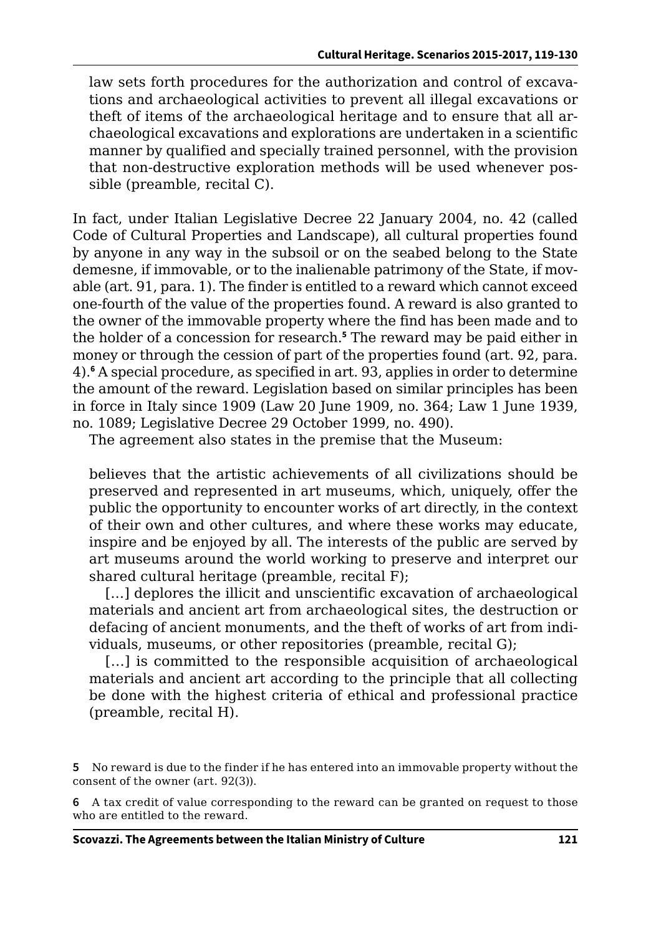law sets forth procedures for the authorization and control of excavations and archaeological activities to prevent all illegal excavations or theft of items of the archaeological heritage and to ensure that all archaeological excavations and explorations are undertaken in a scientific manner by qualified and specially trained personnel, with the provision that non-destructive exploration methods will be used whenever possible (preamble, recital C).

In fact, under Italian Legislative Decree 22 January 2004, no. 42 (called Code of Cultural Properties and Landscape), all cultural properties found by anyone in any way in the subsoil or on the seabed belong to the State demesne, if immovable, or to the inalienable patrimony of the State, if movable (art. 91, para. 1). The finder is entitled to a reward which cannot exceed one-fourth of the value of the properties found. A reward is also granted to the owner of the immovable property where the find has been made and to the holder of a concession for research.**<sup>5</sup>** The reward may be paid either in money or through the cession of part of the properties found (art. 92, para. 4).**<sup>6</sup>** A special procedure, as specified in art. 93, applies in order to determine the amount of the reward. Legislation based on similar principles has been in force in Italy since 1909 (Law 20 June 1909, no. 364; Law 1 June 1939, no. 1089; Legislative Decree 29 October 1999, no. 490).

The agreement also states in the premise that the Museum:

believes that the artistic achievements of all civilizations should be preserved and represented in art museums, which, uniquely, offer the public the opportunity to encounter works of art directly, in the context of their own and other cultures, and where these works may educate, inspire and be enjoyed by all. The interests of the public are served by art museums around the world working to preserve and interpret our shared cultural heritage (preamble, recital F);

[...] deplores the illicit and unscientific excavation of archaeological materials and ancient art from archaeological sites, the destruction or defacing of ancient monuments, and the theft of works of art from individuals, museums, or other repositories (preamble, recital G);

[...] is committed to the responsible acquisition of archaeological materials and ancient art according to the principle that all collecting be done with the highest criteria of ethical and professional practice (preamble, recital H).

**<sup>5</sup>** No reward is due to the finder if he has entered into an immovable property without the consent of the owner (art. 92(3)).

**<sup>6</sup>** A tax credit of value corresponding to the reward can be granted on request to those who are entitled to the reward.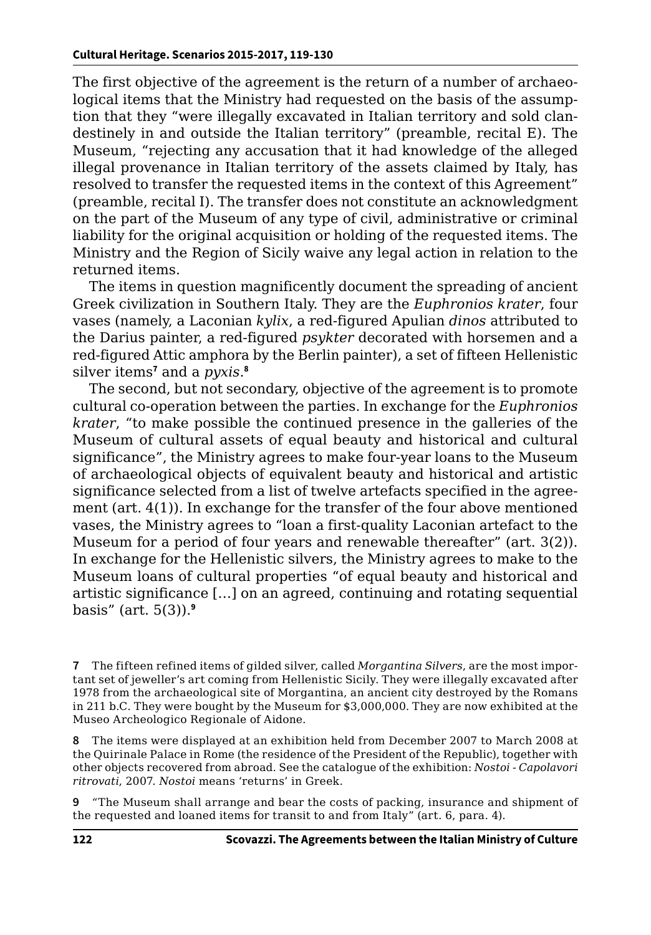The first objective of the agreement is the return of a number of archaeological items that the Ministry had requested on the basis of the assumption that they "were illegally excavated in Italian territory and sold clandestinely in and outside the Italian territory" (preamble, recital E). The Museum, "rejecting any accusation that it had knowledge of the alleged illegal provenance in Italian territory of the assets claimed by Italy, has resolved to transfer the requested items in the context of this Agreement" (preamble, recital I). The transfer does not constitute an acknowledgment on the part of the Museum of any type of civil, administrative or criminal liability for the original acquisition or holding of the requested items. The Ministry and the Region of Sicily waive any legal action in relation to the returned items.

The items in question magnificently document the spreading of ancient Greek civilization in Southern Italy. They are the *Euphronios krater*, four vases (namely, a Laconian *kylix*, a red-figured Apulian *dinos* attributed to the Darius painter, a red-figured *psykter* decorated with horsemen and a red-figured Attic amphora by the Berlin painter), a set of fifteen Hellenistic silver items**<sup>7</sup>** and a *pyxis*. **8**

The second, but not secondary, objective of the agreement is to promote cultural co-operation between the parties. In exchange for the *Euphronios krater*, "to make possible the continued presence in the galleries of the Museum of cultural assets of equal beauty and historical and cultural significance", the Ministry agrees to make four-year loans to the Museum of archaeological objects of equivalent beauty and historical and artistic significance selected from a list of twelve artefacts specified in the agreement (art. 4(1)). In exchange for the transfer of the four above mentioned vases, the Ministry agrees to "loan a first-quality Laconian artefact to the Museum for a period of four years and renewable thereafter" (art. 3(2)). In exchange for the Hellenistic silvers, the Ministry agrees to make to the Museum loans of cultural properties "of equal beauty and historical and artistic significance […] on an agreed, continuing and rotating sequential basis" (art. 5(3)).**<sup>9</sup>**

**7** The fifteen refined items of gilded silver, called *Morgantina Silvers*, are the most important set of jeweller's art coming from Hellenistic Sicily. They were illegally excavated after 1978 from the archaeological site of Morgantina, an ancient city destroyed by the Romans in 211 b.C. They were bought by the Museum for \$3,000,000. They are now exhibited at the Museo Archeologico Regionale of Aidone.

**8** The items were displayed at an exhibition held from December 2007 to March 2008 at the Quirinale Palace in Rome (the residence of the President of the Republic), together with other objects recovered from abroad. See the catalogue of the exhibition: *Nostoi - Capolavori ritrovati*, 2007. *Nostoi* means 'returns' in Greek.

**9** "The Museum shall arrange and bear the costs of packing, insurance and shipment of the requested and loaned items for transit to and from Italy" (art. 6, para. 4).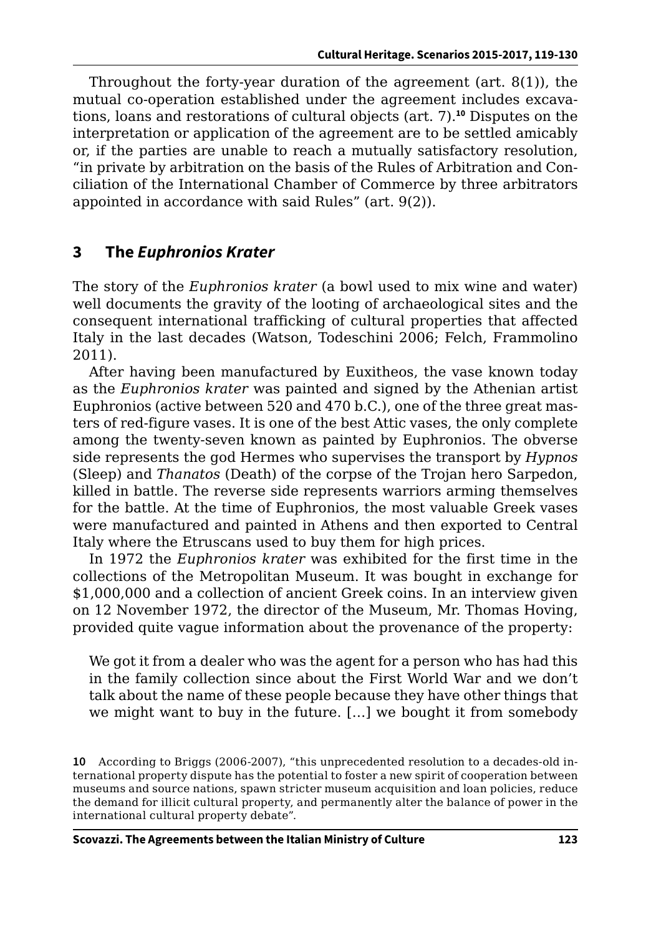Throughout the forty-year duration of the agreement (art. 8(1)), the mutual co-operation established under the agreement includes excavations, loans and restorations of cultural objects (art. 7).**<sup>10</sup>** Disputes on the interpretation or application of the agreement are to be settled amicably or, if the parties are unable to reach a mutually satisfactory resolution, "in private by arbitration on the basis of the Rules of Arbitration and Conciliation of the International Chamber of Commerce by three arbitrators appointed in accordance with said Rules" (art. 9(2)).

## **3 The** *Euphronios Krater*

The story of the *Euphronios krater* (a bowl used to mix wine and water) well documents the gravity of the looting of archaeological sites and the consequent international trafficking of cultural properties that affected Italy in the last decades (Watson, Todeschini 2006; Felch, Frammolino 2011).

After having been manufactured by Euxitheos, the vase known today as the *Euphronios krater* was painted and signed by the Athenian artist Euphronios (active between 520 and 470 b.C.), one of the three great masters of red-figure vases. It is one of the best Attic vases, the only complete among the twenty-seven known as painted by Euphronios. The obverse side represents the god Hermes who supervises the transport by *Hypnos* (Sleep) and *Thanatos* (Death) of the corpse of the Trojan hero Sarpedon, killed in battle. The reverse side represents warriors arming themselves for the battle. At the time of Euphronios, the most valuable Greek vases were manufactured and painted in Athens and then exported to Central Italy where the Etruscans used to buy them for high prices.

In 1972 the *Euphronios krater* was exhibited for the first time in the collections of the Metropolitan Museum. It was bought in exchange for \$1,000,000 and a collection of ancient Greek coins. In an interview given on 12 November 1972, the director of the Museum, Mr. Thomas Hoving, provided quite vague information about the provenance of the property:

We got it from a dealer who was the agent for a person who has had this in the family collection since about the First World War and we don't talk about the name of these people because they have other things that we might want to buy in the future. […] we bought it from somebody

**<sup>10</sup>** According to Briggs (2006-2007), "this unprecedented resolution to a decades-old international property dispute has the potential to foster a new spirit of cooperation between museums and source nations, spawn stricter museum acquisition and loan policies, reduce the demand for illicit cultural property, and permanently alter the balance of power in the international cultural property debate".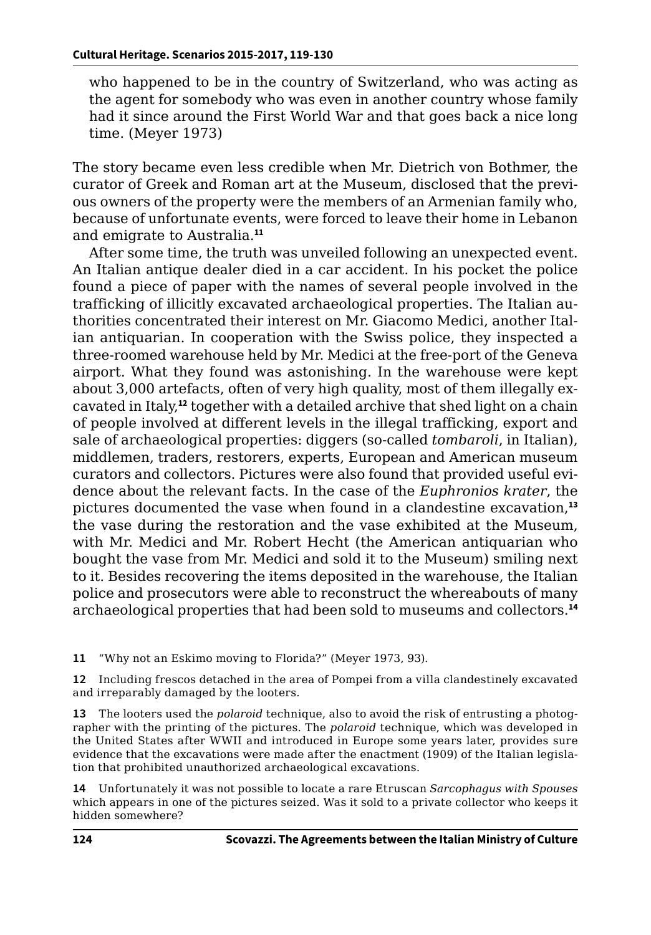who happened to be in the country of Switzerland, who was acting as the agent for somebody who was even in another country whose family had it since around the First World War and that goes back a nice long time. (Meyer 1973)

The story became even less credible when Mr. Dietrich von Bothmer, the curator of Greek and Roman art at the Museum, disclosed that the previous owners of the property were the members of an Armenian family who, because of unfortunate events, were forced to leave their home in Lebanon and emigrate to Australia.**<sup>11</sup>**

After some time, the truth was unveiled following an unexpected event. An Italian antique dealer died in a car accident. In his pocket the police found a piece of paper with the names of several people involved in the trafficking of illicitly excavated archaeological properties. The Italian authorities concentrated their interest on Mr. Giacomo Medici, another Italian antiquarian. In cooperation with the Swiss police, they inspected a three-roomed warehouse held by Mr. Medici at the free-port of the Geneva airport. What they found was astonishing. In the warehouse were kept about 3,000 artefacts, often of very high quality, most of them illegally excavated in Italy,**<sup>12</sup>** together with a detailed archive that shed light on a chain of people involved at different levels in the illegal trafficking, export and sale of archaeological properties: diggers (so-called *tombaroli*, in Italian), middlemen, traders, restorers, experts, European and American museum curators and collectors. Pictures were also found that provided useful evidence about the relevant facts. In the case of the *Euphronios krater*, the pictures documented the vase when found in a clandestine excavation,**<sup>13</sup>** the vase during the restoration and the vase exhibited at the Museum, with Mr. Medici and Mr. Robert Hecht (the American antiquarian who bought the vase from Mr. Medici and sold it to the Museum) smiling next to it. Besides recovering the items deposited in the warehouse, the Italian police and prosecutors were able to reconstruct the whereabouts of many archaeological properties that had been sold to museums and collectors.**<sup>14</sup>**

**11** "Why not an Eskimo moving to Florida?" (Meyer 1973, 93).

**12** Including frescos detached in the area of Pompei from a villa clandestinely excavated and irreparably damaged by the looters.

**13** The looters used the *polaroid* technique, also to avoid the risk of entrusting a photographer with the printing of the pictures. The *polaroid* technique, which was developed in the United States after WWII and introduced in Europe some years later, provides sure evidence that the excavations were made after the enactment (1909) of the Italian legislation that prohibited unauthorized archaeological excavations.

**14** Unfortunately it was not possible to locate a rare Etruscan *Sarcophagus with Spouses* which appears in one of the pictures seized. Was it sold to a private collector who keeps it hidden somewhere?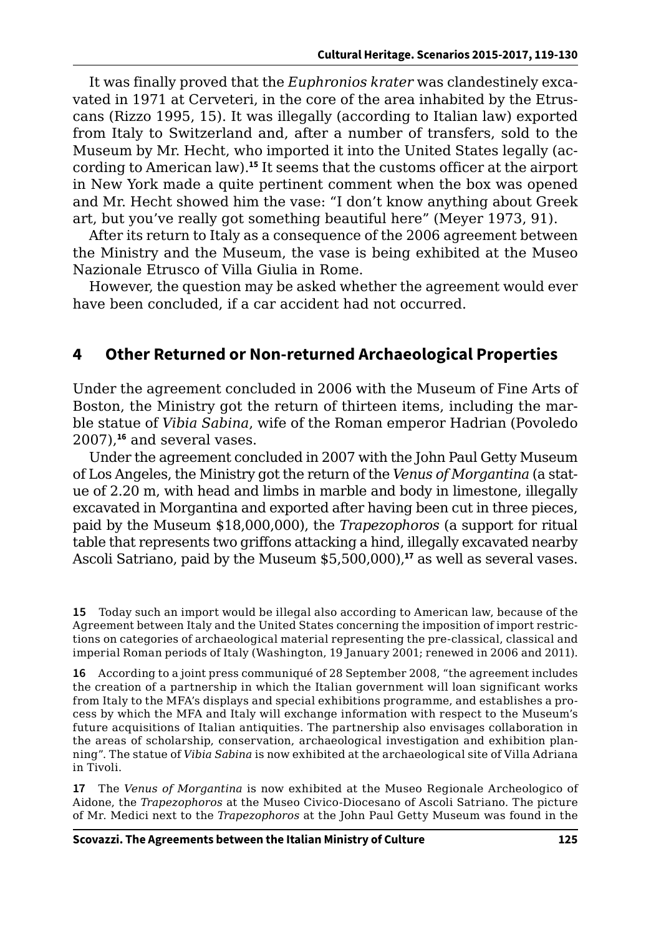It was finally proved that the *Euphronios krater* was clandestinely excavated in 1971 at Cerveteri, in the core of the area inhabited by the Etruscans (Rizzo 1995, 15). It was illegally (according to Italian law) exported from Italy to Switzerland and, after a number of transfers, sold to the Museum by Mr. Hecht, who imported it into the United States legally (according to American law).**<sup>15</sup>** It seems that the customs officer at the airport in New York made a quite pertinent comment when the box was opened and Mr. Hecht showed him the vase: "I don't know anything about Greek art, but you've really got something beautiful here" (Meyer 1973, 91).

After its return to Italy as a consequence of the 2006 agreement between the Ministry and the Museum, the vase is being exhibited at the Museo Nazionale Etrusco of Villa Giulia in Rome.

However, the question may be asked whether the agreement would ever have been concluded, if a car accident had not occurred.

## **4 Other Returned or Non-returned Archaeological Properties**

Under the agreement concluded in 2006 with the Museum of Fine Arts of Boston, the Ministry got the return of thirteen items, including the marble statue of *Vibia Sabina*, wife of the Roman emperor Hadrian (Povoledo 2007),**<sup>16</sup>** and several vases.

Under the agreement concluded in 2007 with the John Paul Getty Museum of Los Angeles, the Ministry got the return of the *Venus of Morgantina* (a statue of 2.20 m, with head and limbs in marble and body in limestone, illegally excavated in Morgantina and exported after having been cut in three pieces, paid by the Museum \$18,000,000), the *Trapezophoros* (a support for ritual table that represents two griffons attacking a hind, illegally excavated nearby Ascoli Satriano, paid by the Museum \$5,500,000),**<sup>17</sup>** as well as several vases.

**15** Today such an import would be illegal also according to American law, because of the Agreement between Italy and the United States concerning the imposition of import restrictions on categories of archaeological material representing the pre-classical, classical and imperial Roman periods of Italy (Washington, 19 January 2001; renewed in 2006 and 2011).

**16** According to a joint press communiqué of 28 September 2008, "the agreement includes the creation of a partnership in which the Italian government will loan significant works from Italy to the MFA's displays and special exhibitions programme, and establishes a process by which the MFA and Italy will exchange information with respect to the Museum's future acquisitions of Italian antiquities. The partnership also envisages collaboration in the areas of scholarship, conservation, archaeological investigation and exhibition planning". The statue of *Vibia Sabina* is now exhibited at the archaeological site of Villa Adriana in Tivoli.

**17** The *Venus of Morgantina* is now exhibited at the Museo Regionale Archeologico of Aidone, the *Trapezophoros* at the Museo Civico-Diocesano of Ascoli Satriano. The picture of Mr. Medici next to the *Trapezophoros* at the John Paul Getty Museum was found in the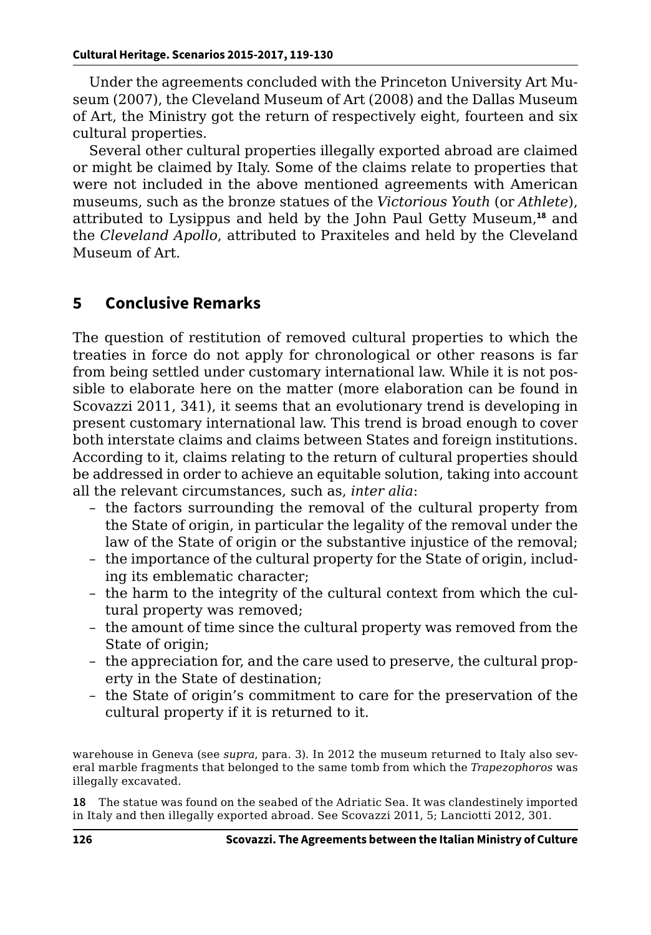Under the agreements concluded with the Princeton University Art Museum (2007), the Cleveland Museum of Art (2008) and the Dallas Museum of Art, the Ministry got the return of respectively eight, fourteen and six cultural properties.

Several other cultural properties illegally exported abroad are claimed or might be claimed by Italy. Some of the claims relate to properties that were not included in the above mentioned agreements with American museums, such as the bronze statues of the *Victorious Youth* (or *Athlete*), attributed to Lysippus and held by the John Paul Getty Museum,**<sup>18</sup>** and the *Cleveland Apollo*, attributed to Praxiteles and held by the Cleveland Museum of Art.

# **5 Conclusive Remarks**

The question of restitution of removed cultural properties to which the treaties in force do not apply for chronological or other reasons is far from being settled under customary international law. While it is not possible to elaborate here on the matter (more elaboration can be found in Scovazzi 2011, 341), it seems that an evolutionary trend is developing in present customary international law. This trend is broad enough to cover both interstate claims and claims between States and foreign institutions. According to it, claims relating to the return of cultural properties should be addressed in order to achieve an equitable solution, taking into account all the relevant circumstances, such as, *inter alia*:

- the factors surrounding the removal of the cultural property from the State of origin, in particular the legality of the removal under the law of the State of origin or the substantive injustice of the removal;
- the importance of the cultural property for the State of origin, including its emblematic character;
- the harm to the integrity of the cultural context from which the cultural property was removed;
- the amount of time since the cultural property was removed from the State of origin;
- the appreciation for, and the care used to preserve, the cultural property in the State of destination;
- the State of origin's commitment to care for the preservation of the cultural property if it is returned to it.

warehouse in Geneva (see *supra*, para. 3). In 2012 the museum returned to Italy also several marble fragments that belonged to the same tomb from which the *Trapezophoros* was illegally excavated.

**18** The statue was found on the seabed of the Adriatic Sea. It was clandestinely imported in Italy and then illegally exported abroad. See Scovazzi 2011, 5; Lanciotti 2012, 301.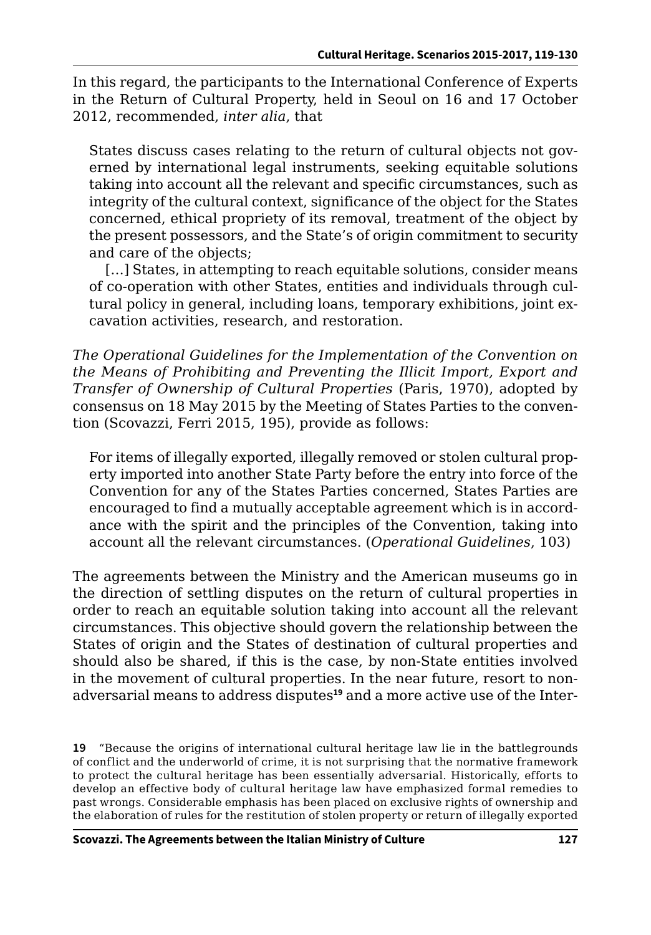In this regard, the participants to the International Conference of Experts in the Return of Cultural Property, held in Seoul on 16 and 17 October 2012, recommended, *inter alia*, that

States discuss cases relating to the return of cultural objects not governed by international legal instruments, seeking equitable solutions taking into account all the relevant and specific circumstances, such as integrity of the cultural context, significance of the object for the States concerned, ethical propriety of its removal, treatment of the object by the present possessors, and the State's of origin commitment to security and care of the objects;

[...] States, in attempting to reach equitable solutions, consider means of co-operation with other States, entities and individuals through cultural policy in general, including loans, temporary exhibitions, joint excavation activities, research, and restoration.

*The Operational Guidelines for the Implementation of the Convention on the Means of Prohibiting and Preventing the Illicit Import, Export and Transfer of Ownership of Cultural Properties* (Paris, 1970), adopted by consensus on 18 May 2015 by the Meeting of States Parties to the convention (Scovazzi, Ferri 2015, 195), provide as follows:

For items of illegally exported, illegally removed or stolen cultural property imported into another State Party before the entry into force of the Convention for any of the States Parties concerned, States Parties are encouraged to find a mutually acceptable agreement which is in accordance with the spirit and the principles of the Convention, taking into account all the relevant circumstances. (*Operational Guidelines*, 103)

The agreements between the Ministry and the American museums go in the direction of settling disputes on the return of cultural properties in order to reach an equitable solution taking into account all the relevant circumstances. This objective should govern the relationship between the States of origin and the States of destination of cultural properties and should also be shared, if this is the case, by non-State entities involved in the movement of cultural properties. In the near future, resort to nonadversarial means to address disputes**19** and a more active use of the Inter-

**<sup>19</sup>** "Because the origins of international cultural heritage law lie in the battlegrounds of conflict and the underworld of crime, it is not surprising that the normative framework to protect the cultural heritage has been essentially adversarial. Historically, efforts to develop an effective body of cultural heritage law have emphasized formal remedies to past wrongs. Considerable emphasis has been placed on exclusive rights of ownership and the elaboration of rules for the restitution of stolen property or return of illegally exported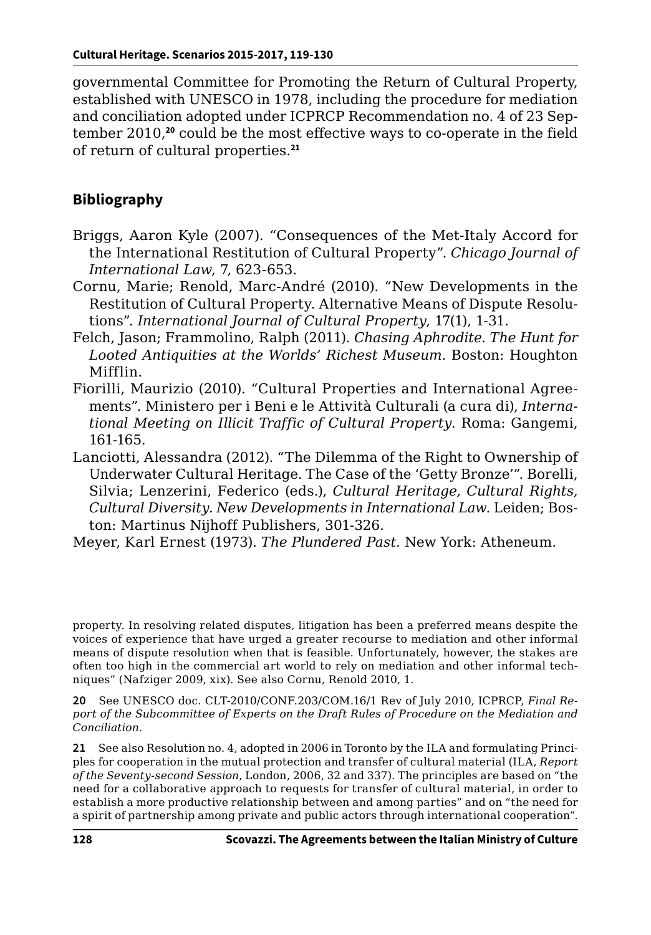governmental Committee for Promoting the Return of Cultural Property, established with UNESCO in 1978, including the procedure for mediation and conciliation adopted under ICPRCP Recommendation no. 4 of 23 September 2010,**<sup>20</sup>** could be the most effective ways to co-operate in the field of return of cultural properties.**<sup>21</sup>**

#### **Bibliography**

- Briggs, Aaron Kyle (2007). "Consequences of the Met-Italy Accord for the International Restitution of Cultural Property". *Chicago Journal of International Law*, 7, 623-653.
- Cornu, Marie; Renold, Marc-André (2010). "New Developments in the Restitution of Cultural Property. Alternative Means of Dispute Resolutions". *International Journal of Cultural Property*, 17(1), 1-31.
- Felch, Jason; Frammolino, Ralph (2011). *Chasing Aphrodite. The Hunt for Looted Antiquities at the Worlds' Richest Museum*. Boston: Houghton Mifflin.
- Fiorilli, Maurizio (2010). "Cultural Properties and International Agreements". Ministero per i Beni e le Attività Culturali (a cura di), *International Meeting on Illicit Traffic of Cultural Property*. Roma: Gangemi, 161-165.
- Lanciotti, Alessandra (2012). "The Dilemma of the Right to Ownership of Underwater Cultural Heritage. The Case of the 'Getty Bronze'". Borelli, Silvia; Lenzerini, Federico (eds.), *Cultural Heritage, Cultural Rights, Cultural Diversity. New Developments in International Law*. Leiden; Boston: Martinus Nijhoff Publishers, 301-326.
- Meyer, Karl Ernest (1973). *The Plundered Past*. New York: Atheneum.

property. In resolving related disputes, litigation has been a preferred means despite the voices of experience that have urged a greater recourse to mediation and other informal means of dispute resolution when that is feasible. Unfortunately, however, the stakes are often too high in the commercial art world to rely on mediation and other informal techniques" (Nafziger 2009, xix). See also Cornu, Renold 2010, 1.

**20** See UNESCO doc. CLT-2010/CONF.203/COM.16/1 Rev of July 2010, ICPRCP, *Final Report of the Subcommittee of Experts on the Draft Rules of Procedure on the Mediation and Conciliation*.

**21** See also Resolution no. 4, adopted in 2006 in Toronto by the ILA and formulating Principles for cooperation in the mutual protection and transfer of cultural material (ILA, *Report of the Seventy-second Session*, London, 2006, 32 and 337). The principles are based on "the need for a collaborative approach to requests for transfer of cultural material, in order to establish a more productive relationship between and among parties" and on "the need for a spirit of partnership among private and public actors through international cooperation".